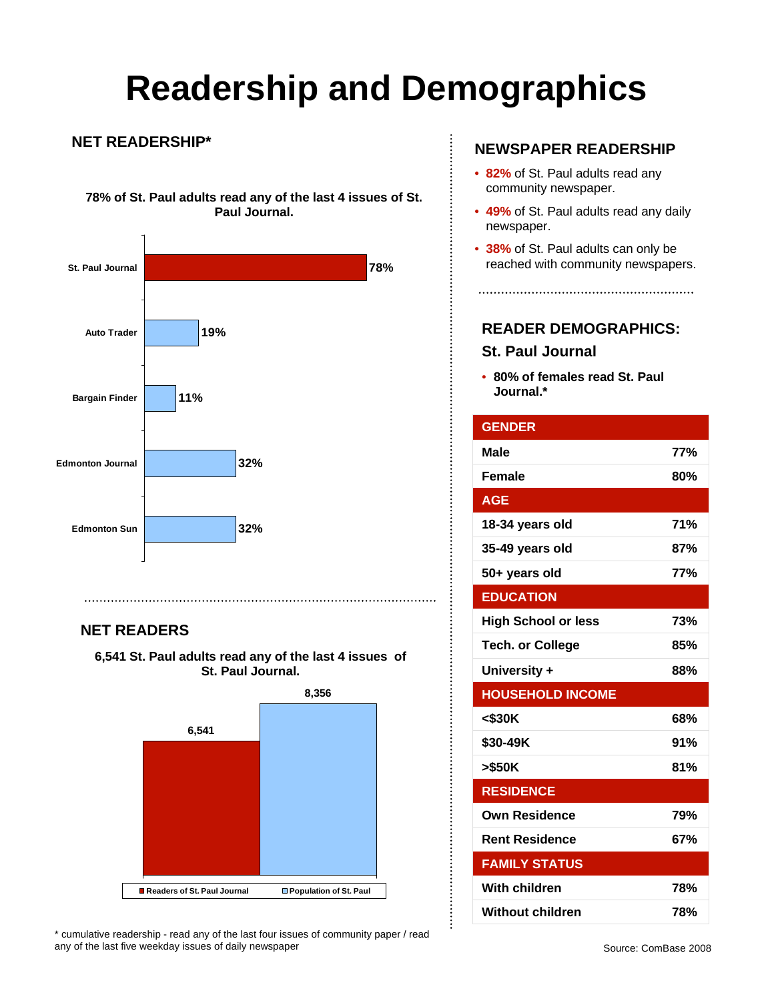# **Readership and Demographics**

...............

 $\vdots$ 

#### **NET READERSHIP\***

**78% of St. Paul adults read any of the last 4 issues of St. Paul Journal.** 



### **NET READERS**

**6,541 St. Paul adults read any of the last 4 issues of St. Paul Journal.** 



\* cumulative readership - read any of the last four issues of community paper / read any of the last five weekday issues of daily newspaper

### **NEWSPAPER READERSHIP**

- **82%** of St. Paul adults read any community newspaper.
- **49%** of St. Paul adults read any daily newspaper.
- **38%** of St. Paul adults can only be reached with community newspapers.

**READER DEMOGRAPHICS:** 

### **St. Paul Journal**

• **80% of females read St. Paul Journal.\***

| <b>GENDER</b>              |     |
|----------------------------|-----|
| Male                       | 77% |
| <b>Female</b>              | 80% |
| <b>AGE</b>                 |     |
| 18-34 years old            | 71% |
| 35-49 years old            | 87% |
| 50+ years old              | 77% |
| <b>EDUCATION</b>           |     |
| <b>High School or less</b> | 73% |
| <b>Tech. or College</b>    | 85% |
| University +               | 88% |
| <b>HOUSEHOLD INCOME</b>    |     |
| $<$ \$30K                  | 68% |
| \$30-49K                   | 91% |
| >\$50K                     | 81% |
| <b>RESIDENCE</b>           |     |
| <b>Own Residence</b>       | 79% |
| <b>Rent Residence</b>      | 67% |
| <b>FAMILY STATUS</b>       |     |
| With children              | 78% |
| <b>Without children</b>    | 78% |